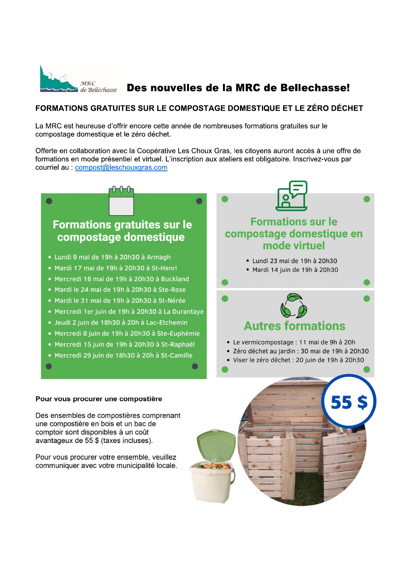

# Des nouvelles de la MRC de Bellechasse!

## FORMATIONS GRATUITES SUR LE COMPOSTAGE DOMESTIQUE ET LE ZÉRO DÉCHET

La MRC est heureuse d'offrir encore cette année de nombreuses formations gratuites sur le compostage domestique et le zéro déchet.

Offerte en collaboration avec la Coopérative Les Choux Gras, les citoyens auront accès à une offre de formations en mode présentiel et virtuel. L'inscription aux ateliers est obligatoire. Inscrivez-vous par courriel au : compost@leschouxgras.com



comptoir sont disponibles à un coût avantageux de 55 \$ (taxes incluses).

Pour vous procurer votre ensemble, veuillez communiquer avec votre municipalité locale.